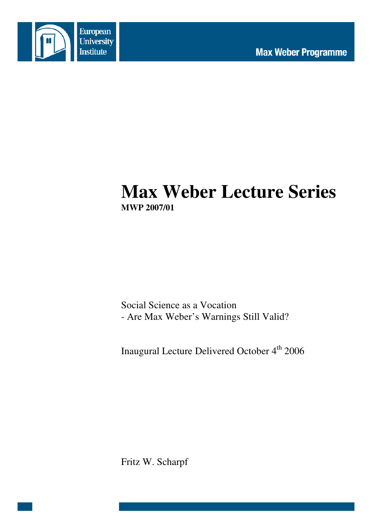

# **Max Weber Lecture Series MWP 2007/01**

Social Science as a Vocation - Are Max Weber's Warnings Still Valid?

Inaugural Lecture Delivered October 4<sup>th</sup> 2006

Fritz W. Scharpf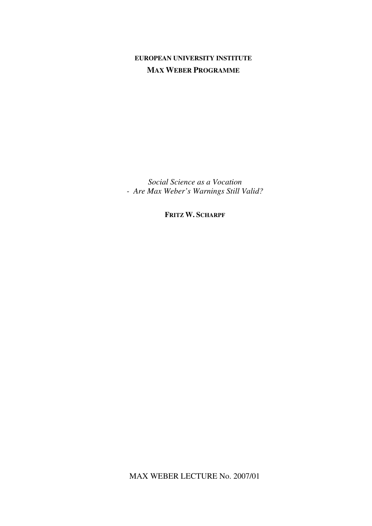# **EUROPEAN UNIVERSITY INSTITUTE MAX WEBER PROGRAMME**

*Social Science as a Vocation - Are Max Weber's Warnings Still Valid?* 

**FRITZ W. SCHARPF**

MAX WEBER LECTURE No. 2007/01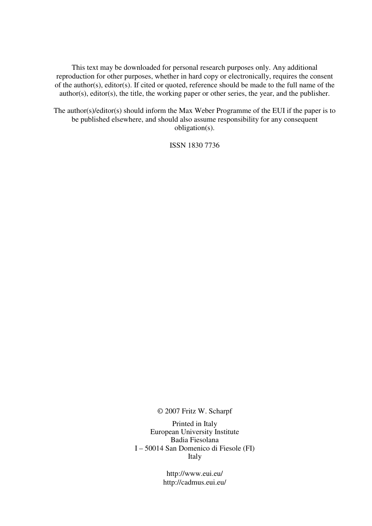This text may be downloaded for personal research purposes only. Any additional reproduction for other purposes, whether in hard copy or electronically, requires the consent of the author(s), editor(s). If cited or quoted, reference should be made to the full name of the author(s), editor(s), the title, the working paper or other series, the year, and the publisher.

The author(s)/editor(s) should inform the Max Weber Programme of the EUI if the paper is to be published elsewhere, and should also assume responsibility for any consequent obligation(s).

ISSN 1830 7736

© 2007 Fritz W. Scharpf

Printed in Italy European University Institute Badia Fiesolana I – 50014 San Domenico di Fiesole (FI) Italy

> http://www.eui.eu/ http://cadmus.eui.eu/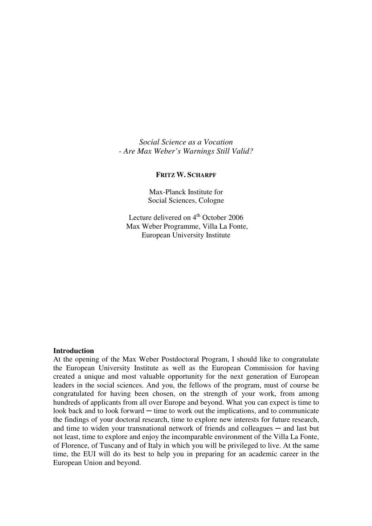*Social Science as a Vocation - Are Max Weber's Warnings Still Valid?* 

## **FRITZ W. SCHARPF**

Max-Planck Institute for Social Sciences, Cologne

Lecture delivered on  $4<sup>th</sup>$  October 2006 Max Weber Programme, Villa La Fonte, European University Institute

#### **Introduction**

At the opening of the Max Weber Postdoctoral Program, I should like to congratulate the European University Institute as well as the European Commission for having created a unique and most valuable opportunity for the next generation of European leaders in the social sciences. And you, the fellows of the program, must of course be congratulated for having been chosen, on the strength of your work, from among hundreds of applicants from all over Europe and beyond. What you can expect is time to look back and to look forward  $-$  time to work out the implications, and to communicate the findings of your doctoral research, time to explore new interests for future research, and time to widen your transnational network of friends and colleagues — and last but not least, time to explore and enjoy the incomparable environment of the Villa La Fonte, of Florence, of Tuscany and of Italy in which you will be privileged to live. At the same time, the EUI will do its best to help you in preparing for an academic career in the European Union and beyond.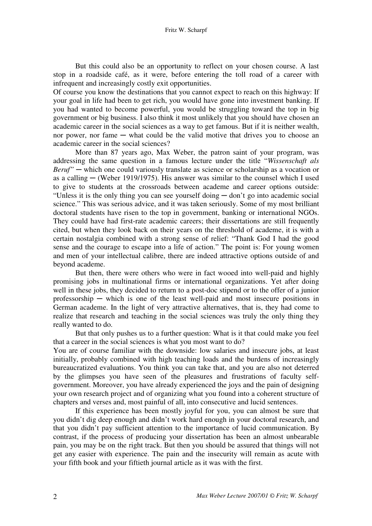But this could also be an opportunity to reflect on your chosen course. A last stop in a roadside café, as it were, before entering the toll road of a career with infrequent and increasingly costly exit opportunities.

Of course you know the destinations that you cannot expect to reach on this highway: If your goal in life had been to get rich, you would have gone into investment banking. If you had wanted to become powerful, you would be struggling toward the top in big government or big business. I also think it most unlikely that you should have chosen an academic career in the social sciences as a way to get famous. But if it is neither wealth, nor power, nor fame  $-$  what could be the valid motive that drives you to choose an academic career in the social sciences?

More than 87 years ago, Max Weber, the patron saint of your program, was addressing the same question in a famous lecture under the title "*Wissenschaft als Beruf*" — which one could variously translate as science or scholarship as a vocation or as a calling  $-$  (Weber 1919/1975). His answer was similar to the counsel which I used to give to students at the crossroads between academe and career options outside: "Unless it is the only thing you can see yourself doing ─ don't go into academic social science." This was serious advice, and it was taken seriously. Some of my most brilliant doctoral students have risen to the top in government, banking or international NGOs. They could have had first-rate academic careers; their dissertations are still frequently cited, but when they look back on their years on the threshold of academe, it is with a certain nostalgia combined with a strong sense of relief: "Thank God I had the good sense and the courage to escape into a life of action." The point is: For young women and men of your intellectual calibre, there are indeed attractive options outside of and beyond academe.

But then, there were others who were in fact wooed into well-paid and highly promising jobs in multinational firms or international organizations. Yet after doing well in these jobs, they decided to return to a post-doc stipend or to the offer of a junior professorship  $-$  which is one of the least well-paid and most insecure positions in German academe. In the light of very attractive alternatives, that is, they had come to realize that research and teaching in the social sciences was truly the only thing they really wanted to do.

But that only pushes us to a further question: What is it that could make you feel that a career in the social sciences is what you most want to do?

You are of course familiar with the downside: low salaries and insecure jobs, at least initially, probably combined with high teaching loads and the burdens of increasingly bureaucratized evaluations. You think you can take that, and you are also not deterred by the glimpses you have seen of the pleasures and frustrations of faculty selfgovernment. Moreover, you have already experienced the joys and the pain of designing your own research project and of organizing what you found into a coherent structure of chapters and verses and, most painful of all, into consecutive and lucid sentences.

If this experience has been mostly joyful for you, you can almost be sure that you didn't dig deep enough and didn't work hard enough in your doctoral research, and that you didn't pay sufficient attention to the importance of lucid communication. By contrast, if the process of producing your dissertation has been an almost unbearable pain, you may be on the right track. But then you should be assured that things will not get any easier with experience. The pain and the insecurity will remain as acute with your fifth book and your fiftieth journal article as it was with the first.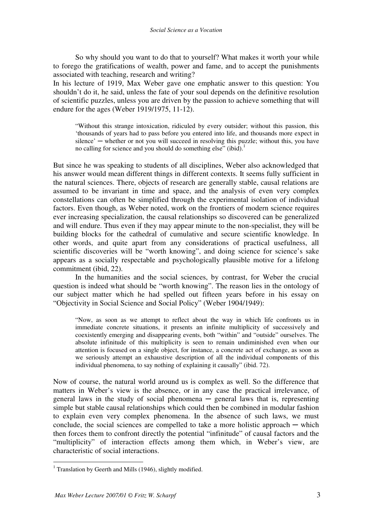So why should you want to do that to yourself? What makes it worth your while to forego the gratifications of wealth, power and fame, and to accept the punishments associated with teaching, research and writing?

In his lecture of 1919, Max Weber gave one emphatic answer to this question: You shouldn't do it, he said, unless the fate of your soul depends on the definitive resolution of scientific puzzles, unless you are driven by the passion to achieve something that will endure for the ages (Weber 1919/1975, 11-12).

"Without this strange intoxication, ridiculed by every outsider; without this passion, this 'thousands of years had to pass before you entered into life, and thousands more expect in silence' — whether or not you will succeed in resolving this puzzle; without this, you have no calling for science and you should do something else" (ibid).<sup>1</sup>

But since he was speaking to students of all disciplines, Weber also acknowledged that his answer would mean different things in different contexts. It seems fully sufficient in the natural sciences. There, objects of research are generally stable, causal relations are assumed to be invariant in time and space, and the analysis of even very complex constellations can often be simplified through the experimental isolation of individual factors. Even though, as Weber noted, work on the frontiers of modern science requires ever increasing specialization, the causal relationships so discovered can be generalized and will endure. Thus even if they may appear minute to the non-specialist, they will be building blocks for the cathedral of cumulative and secure scientific knowledge. In other words, and quite apart from any considerations of practical usefulness, all scientific discoveries will be "worth knowing", and doing science for science's sake appears as a socially respectable and psychologically plausible motive for a lifelong commitment (ibid, 22).

In the humanities and the social sciences, by contrast, for Weber the crucial question is indeed what should be "worth knowing". The reason lies in the ontology of our subject matter which he had spelled out fifteen years before in his essay on "Objectivity in Social Science and Social Policy" (Weber 1904/1949):

"Now, as soon as we attempt to reflect about the way in which life confronts us in immediate concrete situations, it presents an infinite multiplicity of successively and coexistently emerging and disappearing events, both "within" and "outside" ourselves. The absolute infinitude of this multiplicity is seen to remain undiminished even when our attention is focused on a single object, for instance, a concrete act of exchange, as soon as we seriously attempt an exhaustive description of all the individual components of this individual phenomena, to say nothing of explaining it causally" (ibid. 72).

Now of course, the natural world around us is complex as well. So the difference that matters in Weber's view is the absence, or in any case the practical irrelevance, of general laws in the study of social phenomena  $-$  general laws that is, representing simple but stable causal relationships which could then be combined in modular fashion to explain even very complex phenomena. In the absence of such laws, we must conclude, the social sciences are compelled to take a more holistic approach  $-$  which then forces them to confront directly the potential "infinitude" of causal factors and the "multiplicity" of interaction effects among them which, in Weber's view, are characteristic of social interactions.

 $\overline{a}$ <sup>1</sup> Translation by Geerth and Mills (1946), slightly modified.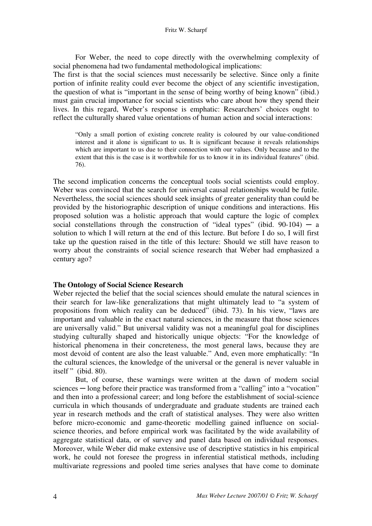For Weber, the need to cope directly with the overwhelming complexity of social phenomena had two fundamental methodological implications:

The first is that the social sciences must necessarily be selective. Since only a finite portion of infinite reality could ever become the object of any scientific investigation, the question of what is "important in the sense of being worthy of being known" (ibid.) must gain crucial importance for social scientists who care about how they spend their lives. In this regard, Weber's response is emphatic: Researchers' choices ought to reflect the culturally shared value orientations of human action and social interactions:

"Only a small portion of existing concrete reality is coloured by our value-conditioned interest and it alone is significant to us. It is significant because it reveals relationships which are important to us due to their connection with our values. Only because and to the extent that this is the case is it worthwhile for us to know it in its individual features" (ibid. 76).

The second implication concerns the conceptual tools social scientists could employ. Weber was convinced that the search for universal causal relationships would be futile. Nevertheless, the social sciences should seek insights of greater generality than could be provided by the historiographic description of unique conditions and interactions. His proposed solution was a holistic approach that would capture the logic of complex social constellations through the construction of "ideal types" (ibid.  $90-104$ ) — a solution to which I will return at the end of this lecture. But before I do so, I will first take up the question raised in the title of this lecture: Should we still have reason to worry about the constraints of social science research that Weber had emphasized a century ago?

# **The Ontology of Social Science Research**

Weber rejected the belief that the social sciences should emulate the natural sciences in their search for law-like generalizations that might ultimately lead to "a system of propositions from which reality can be deduced" (ibid. 73). In his view, "laws are important and valuable in the exact natural sciences, in the measure that those sciences are universally valid." But universal validity was not a meaningful goal for disciplines studying culturally shaped and historically unique objects: "For the knowledge of historical phenomena in their concreteness, the most general laws, because they are most devoid of content are also the least valuable." And, even more emphatically: "In the cultural sciences, the knowledge of the universal or the general is never valuable in itself" (ibid. 80).

But, of course, these warnings were written at the dawn of modern social sciences — long before their practice was transformed from a "calling" into a "vocation" and then into a professional career; and long before the establishment of social-science curricula in which thousands of undergraduate and graduate students are trained each year in research methods and the craft of statistical analyses. They were also written before micro-economic and game-theoretic modelling gained influence on socialscience theories, and before empirical work was facilitated by the wide availability of aggregate statistical data, or of survey and panel data based on individual responses. Moreover, while Weber did make extensive use of descriptive statistics in his empirical work, he could not foresee the progress in inferential statistical methods, including multivariate regressions and pooled time series analyses that have come to dominate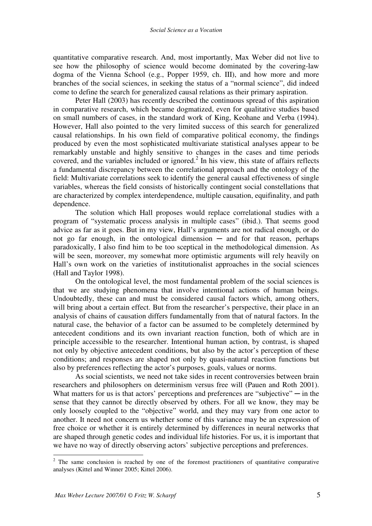quantitative comparative research. And, most importantly, Max Weber did not live to see how the philosophy of science would become dominated by the covering-law dogma of the Vienna School (e.g., Popper 1959, ch. III), and how more and more branches of the social sciences, in seeking the status of a "normal science", did indeed come to define the search for generalized causal relations as their primary aspiration.

Peter Hall (2003) has recently described the continuous spread of this aspiration in comparative research, which became dogmatized, even for qualitative studies based on small numbers of cases, in the standard work of King, Keohane and Verba (1994). However, Hall also pointed to the very limited success of this search for generalized causal relationships. In his own field of comparative political economy, the findings produced by even the most sophisticated multivariate statistical analyses appear to be remarkably unstable and highly sensitive to changes in the cases and time periods covered, and the variables included or ignored. $2$  In his view, this state of affairs reflects a fundamental discrepancy between the correlational approach and the ontology of the field: Multivariate correlations seek to identify the general causal effectiveness of single variables, whereas the field consists of historically contingent social constellations that are characterized by complex interdependence, multiple causation, equifinality, and path dependence.

The solution which Hall proposes would replace correlational studies with a program of "systematic process analysis in multiple cases" (ibid.). That seems good advice as far as it goes. But in my view, Hall's arguments are not radical enough, or do not go far enough, in the ontological dimension  $-$  and for that reason, perhaps paradoxically, I also find him to be too sceptical in the methodological dimension. As will be seen, moreover, my somewhat more optimistic arguments will rely heavily on Hall's own work on the varieties of institutionalist approaches in the social sciences (Hall and Taylor 1998).

On the ontological level, the most fundamental problem of the social sciences is that we are studying phenomena that involve intentional actions of human beings. Undoubtedly, these can and must be considered causal factors which, among others, will bring about a certain effect. But from the researcher's perspective, their place in an analysis of chains of causation differs fundamentally from that of natural factors. In the natural case, the behavior of a factor can be assumed to be completely determined by antecedent conditions and its own invariant reaction function, both of which are in principle accessible to the researcher. Intentional human action, by contrast, is shaped not only by objective antecedent conditions, but also by the actor's perception of these conditions; and responses are shaped not only by quasi-natural reaction functions but also by preferences reflecting the actor's purposes, goals, values or norms.

As social scientists, we need not take sides in recent controversies between brain researchers and philosophers on determinism versus free will (Pauen and Roth 2001). What matters for us is that actors' perceptions and preferences are "subjective"  $-$  in the sense that they cannot be directly observed by others. For all we know, they may be only loosely coupled to the "objective" world, and they may vary from one actor to another. It need not concern us whether some of this variance may be an expression of free choice or whether it is entirely determined by differences in neural networks that are shaped through genetic codes and individual life histories. For us, it is important that we have no way of directly observing actors' subjective perceptions and preferences.

 $\overline{a}$ 

 $2$  The same conclusion is reached by one of the foremost practitioners of quantitative comparative analyses (Kittel and Winner 2005; Kittel 2006).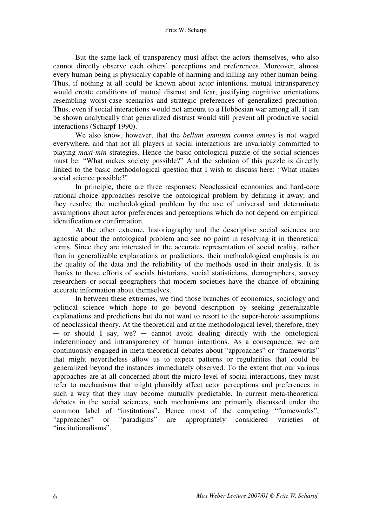#### Fritz W. Scharpf

But the same lack of transparency must affect the actors themselves, who also cannot directly observe each others' perceptions and preferences. Moreover, almost every human being is physically capable of harming and killing any other human being. Thus, if nothing at all could be known about actor intentions, mutual intransparency would create conditions of mutual distrust and fear, justifying cognitive orientations resembling worst-case scenarios and strategic preferences of generalized precaution. Thus, even if social interactions would not amount to a Hobbesian war among all, it can be shown analytically that generalized distrust would still prevent all productive social interactions (Scharpf 1990).

We also know, however, that the *bellum omnium contra omnes* is not waged everywhere, and that not all players in social interactions are invariably committed to playing *maxi-min* strategies. Hence the basic ontological puzzle of the social sciences must be: "What makes society possible?" And the solution of this puzzle is directly linked to the basic methodological question that I wish to discuss here: "What makes social science possible?"

In principle, there are three responses: Neoclassical economics and hard-core rational-choice approaches resolve the ontological problem by defining it away; and they resolve the methodological problem by the use of universal and determinate assumptions about actor preferences and perceptions which do not depend on empirical identification or confirmation.

At the other extreme, historiography and the descriptive social sciences are agnostic about the ontological problem and see no point in resolving it in theoretical terms. Since they are interested in the accurate representation of social reality, rather than in generalizable explanations or predictions, their methodological emphasis is on the quality of the data and the reliability of the methods used in their analysis. It is thanks to these efforts of socials historians, social statisticians, demographers, survey researchers or social geographers that modern societies have the chance of obtaining accurate information about themselves.

In between these extremes, we find those branches of economics, sociology and political science which hope to go beyond description by seeking generalizable explanations and predictions but do not want to resort to the super-heroic assumptions of neoclassical theory. At the theoretical and at the methodological level, therefore, they ─ or should I say, we? ─ cannot avoid dealing directly with the ontological indeterminacy and intransparency of human intentions. As a consequence, we are continuously engaged in meta-theoretical debates about "approaches" or "frameworks" that might nevertheless allow us to expect patterns or regularities that could be generalized beyond the instances immediately observed. To the extent that our various approaches are at all concerned about the micro-level of social interactions, they must refer to mechanisms that might plausibly affect actor perceptions and preferences in such a way that they may become mutually predictable. In current meta-theoretical debates in the social sciences, such mechanisms are primarily discussed under the common label of "institutions". Hence most of the competing "frameworks", "approaches" or "paradigms" are appropriately considered varieties of "institutionalisms".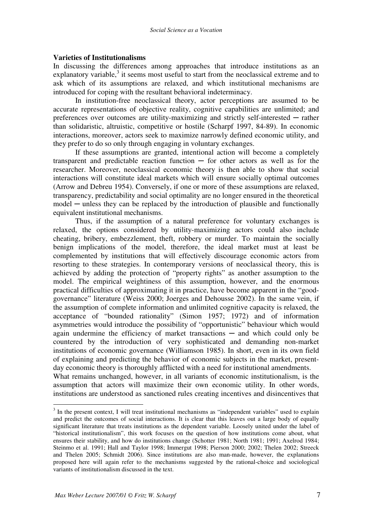# **Varieties of Institutionalisms**

In discussing the differences among approaches that introduce institutions as an explanatory variable, $3$  it seems most useful to start from the neoclassical extreme and to ask which of its assumptions are relaxed, and which institutional mechanisms are introduced for coping with the resultant behavioral indeterminacy.

In institution-free neoclassical theory, actor perceptions are assumed to be accurate representations of objective reality, cognitive capabilities are unlimited; and preferences over outcomes are utility-maximizing and strictly self-interested ─ rather than solidaristic, altruistic, competitive or hostile (Scharpf 1997, 84-89). In economic interactions, moreover, actors seek to maximize narrowly defined economic utility, and they prefer to do so only through engaging in voluntary exchanges.

If these assumptions are granted, intentional action will become a completely transparent and predictable reaction function  $-$  for other actors as well as for the researcher. Moreover, neoclassical economic theory is then able to show that social interactions will constitute ideal markets which will ensure socially optimal outcomes (Arrow and Debreu 1954). Conversely, if one or more of these assumptions are relaxed, transparency, predictability and social optimality are no longer ensured in the theoretical  $model$  — unless they can be replaced by the introduction of plausible and functionally equivalent institutional mechanisms.

Thus, if the assumption of a natural preference for voluntary exchanges is relaxed, the options considered by utility-maximizing actors could also include cheating, bribery, embezzlement, theft, robbery or murder. To maintain the socially benign implications of the model, therefore, the ideal market must at least be complemented by institutions that will effectively discourage economic actors from resorting to these strategies. In contemporary versions of neoclassical theory, this is achieved by adding the protection of "property rights" as another assumption to the model. The empirical weightiness of this assumption, however, and the enormous practical difficulties of approximating it in practice, have become apparent in the "goodgovernance" literature (Weiss 2000; Joerges and Dehousse 2002). In the same vein, if the assumption of complete information and unlimited cognitive capacity is relaxed, the acceptance of "bounded rationality" (Simon 1957; 1972) and of information asymmetries would introduce the possibility of "opportunistic" behaviour which would again undermine the efficiency of market transactions  $-$  and which could only be countered by the introduction of very sophisticated and demanding non-market institutions of economic governance (Williamson 1985). In short, even in its own field of explaining and predicting the behavior of economic subjects in the market, presentday economic theory is thoroughly afflicted with a need for institutional amendments.

What remains unchanged, however, in all variants of economic institutionalism, is the assumption that actors will maximize their own economic utility. In other words, institutions are understood as sanctioned rules creating incentives and disincentives that

<sup>&</sup>lt;sup>3</sup> In the present context, I will treat institutional mechanisms as "independent variables" used to explain and predict the outcomes of social interactions. It is clear that this leaves out a large body of equally significant literature that treats institutions as the dependent variable. Loosely united under the label of "historical institutionalism", this work focuses on the question of how institutions come about, what ensures their stability, and how do institutions change (Schotter 1981; North 1981; 1991; Axelrod 1984; Steinmo et al. 1991; Hall and Taylor 1998; Immergut 1998; Pierson 2000; 2002; Thelen 2002; Streeck and Thelen 2005; Schmidt 2006). Since institutions are also man-made, however, the explanations proposed here will again refer to the mechanisms suggested by the rational-choice and sociological variants of institutionalism discussed in the text.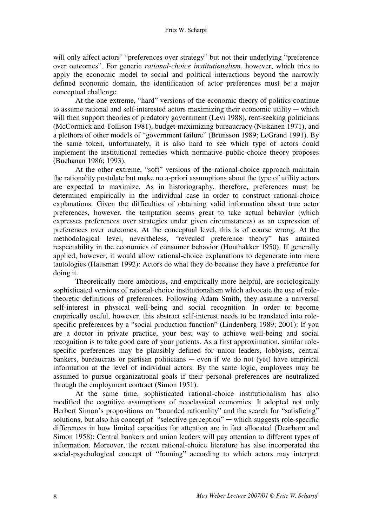will only affect actors' "preferences over strategy" but not their underlying "preference over outcomes". For generic *rational-choice institutionalism*, however, which tries to apply the economic model to social and political interactions beyond the narrowly defined economic domain, the identification of actor preferences must be a major conceptual challenge.

At the one extreme, "hard" versions of the economic theory of politics continue to assume rational and self-interested actors maximizing their economic utility  $-$  which will then support theories of predatory government (Levi 1988), rent-seeking politicians (McCormick and Tollison 1981), budget-maximizing bureaucracy (Niskanen 1971), and a plethora of other models of "government failure" (Brunsson 1989; LeGrand 1991). By the same token, unfortunately, it is also hard to see which type of actors could implement the institutional remedies which normative public-choice theory proposes (Buchanan 1986; 1993).

At the other extreme, "soft" versions of the rational-choice approach maintain the rationality postulate but make no a-priori assumptions about the type of utility actors are expected to maximize. As in historiography, therefore, preferences must be determined empirically in the individual case in order to construct rational-choice explanations. Given the difficulties of obtaining valid information about true actor preferences, however, the temptation seems great to take actual behavior (which expresses preferences over strategies under given circumstances) as an expression of preferences over outcomes. At the conceptual level, this is of course wrong. At the methodological level, nevertheless, "revealed preference theory" has attained respectability in the economics of consumer behavior (Houthakker 1950). If generally applied, however, it would allow rational-choice explanations to degenerate into mere tautologies (Hausman 1992): Actors do what they do because they have a preference for doing it.

Theoretically more ambitious, and empirically more helpful, are sociologically sophisticated versions of rational-choice institutionalism which advocate the use of roletheoretic definitions of preferences. Following Adam Smith, they assume a universal self-interest in physical well-being and social recognition. In order to become empirically useful, however, this abstract self-interest needs to be translated into rolespecific preferences by a "social production function" (Lindenberg 1989; 2001): If you are a doctor in private practice, your best way to achieve well-being and social recognition is to take good care of your patients. As a first approximation, similar rolespecific preferences may be plausibly defined for union leaders, lobbyists, central bankers, bureaucrats or partisan politicians  $-$  even if we do not (yet) have empirical information at the level of individual actors. By the same logic, employees may be assumed to pursue organizational goals if their personal preferences are neutralized through the employment contract (Simon 1951).

At the same time, sophisticated rational-choice institutionalism has also modified the cognitive assumptions of neoclassical economics. It adopted not only Herbert Simon's propositions on "bounded rationality" and the search for "satisficing" solutions, but also his concept of "selective perception"  $-$  which suggests role-specific differences in how limited capacities for attention are in fact allocated (Dearborn and Simon 1958): Central bankers and union leaders will pay attention to different types of information. Moreover, the recent rational-choice literature has also incorporated the social-psychological concept of "framing" according to which actors may interpret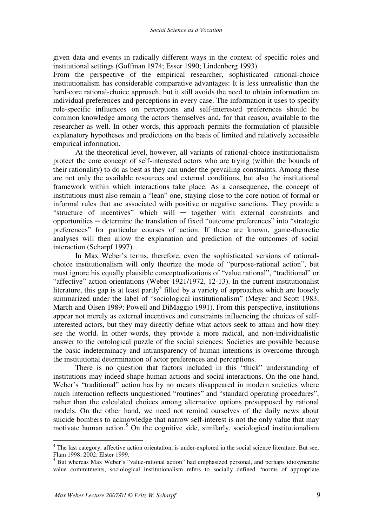given data and events in radically different ways in the context of specific roles and institutional settings (Goffman 1974; Esser 1990; Lindenberg 1993).

From the perspective of the empirical researcher, sophisticated rational-choice institutionalism has considerable comparative advantages: It is less unrealistic than the hard-core rational-choice approach, but it still avoids the need to obtain information on individual preferences and perceptions in every case. The information it uses to specify role-specific influences on perceptions and self-interested preferences should be common knowledge among the actors themselves and, for that reason, available to the researcher as well. In other words, this approach permits the formulation of plausible explanatory hypotheses and predictions on the basis of limited and relatively accessible empirical information.

At the theoretical level, however, all variants of rational-choice institutionalism protect the core concept of self-interested actors who are trying (within the bounds of their rationality) to do as best as they can under the prevailing constraints. Among these are not only the available resources and external conditions, but also the institutional framework within which interactions take place. As a consequence, the concept of institutions must also remain a "lean" one, staying close to the core notion of formal or informal rules that are associated with positive or negative sanctions. They provide a "structure of incentives" which will ─ together with external constraints and opportunities ─ determine the translation of fixed "outcome preferences" into "strategic preferences" for particular courses of action. If these are known, game-theoretic analyses will then allow the explanation and prediction of the outcomes of social interaction (Scharpf 1997).

In Max Weber's terms, therefore, even the sophisticated versions of rationalchoice institutionalism will only theorize the mode of "purpose-rational action", but must ignore his equally plausible conceptualizations of "value rational", "traditional" or "affective" action orientations (Weber 1921/1972, 12-13). In the current institutionalist literature, this gap is at least partly<sup>4</sup> filled by a variety of approaches which are loosely summarized under the label of "sociological institutionalism" (Meyer and Scott 1983; March and Olsen 1989; Powell and DiMaggio 1991). From this perspective, institutions appear not merely as external incentives and constraints influencing the choices of selfinterested actors, but they may directly define what actors seek to attain and how they see the world. In other words, they provide a more radical, and non-individualistic answer to the ontological puzzle of the social sciences: Societies are possible because the basic indeterminacy and intransparency of human intentions is overcome through the institutional determination of actor preferences and perceptions.

There is no question that factors included in this "thick" understanding of institutions may indeed shape human actions and social interactions. On the one hand, Weber's "traditional" action has by no means disappeared in modern societies where much interaction reflects unquestioned "routines" and "standard operating procedures", rather than the calculated choices among alternative options presupposed by rational models. On the other hand, we need not remind ourselves of the daily news about suicide bombers to acknowledge that narrow self-interest is not the only value that may motivate human action.<sup>5</sup> On the cognitive side, similarly, sociological institutionalism

 $\overline{a}$ 

<sup>&</sup>lt;sup>4</sup> The last category, affective action orientation, is under-explored in the social science literature. But see, Flam 1998; 2002; Elster 1999.

<sup>&</sup>lt;sup>5</sup> But whereas Max Weber's "value-rational action" had emphasized personal, and perhaps idiosyncratic value commitments, sociological institutionalism refers to socially defined "norms of appropriate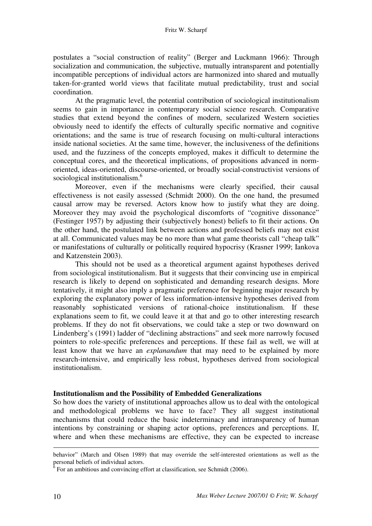postulates a "social construction of reality" (Berger and Luckmann 1966): Through socialization and communication, the subjective, mutually intransparent and potentially incompatible perceptions of individual actors are harmonized into shared and mutually taken-for-granted world views that facilitate mutual predictability, trust and social coordination.

At the pragmatic level, the potential contribution of sociological institutionalism seems to gain in importance in contemporary social science research. Comparative studies that extend beyond the confines of modern, secularized Western societies obviously need to identify the effects of culturally specific normative and cognitive orientations; and the same is true of research focusing on multi-cultural interactions inside national societies. At the same time, however, the inclusiveness of the definitions used, and the fuzziness of the concepts employed, makes it difficult to determine the conceptual cores, and the theoretical implications, of propositions advanced in normoriented, ideas-oriented, discourse-oriented, or broadly social-constructivist versions of sociological institutionalism.<sup>6</sup>

Moreover, even if the mechanisms were clearly specified, their causal effectiveness is not easily assessed (Schmidt 2000). On the one hand, the presumed causal arrow may be reversed. Actors know how to justify what they are doing. Moreover they may avoid the psychological discomforts of "cognitive dissonance" (Festinger 1957) by adjusting their (subjectively honest) beliefs to fit their actions. On the other hand, the postulated link between actions and professed beliefs may not exist at all. Communicated values may be no more than what game theorists call "cheap talk" or manifestations of culturally or politically required hypocrisy (Krasner 1999; Iankova and Katzenstein 2003).

This should not be used as a theoretical argument against hypotheses derived from sociological institutionalism. But it suggests that their convincing use in empirical research is likely to depend on sophisticated and demanding research designs. More tentatively, it might also imply a pragmatic preference for beginning major research by exploring the explanatory power of less information-intensive hypotheses derived from reasonably sophisticated versions of rational-choice institutionalism. If these explanations seem to fit, we could leave it at that and go to other interesting research problems. If they do not fit observations, we could take a step or two downward on Lindenberg's (1991) ladder of "declining abstractions" and seek more narrowly focused pointers to role-specific preferences and perceptions. If these fail as well, we will at least know that we have an *explanandum* that may need to be explained by more research-intensive, and empirically less robust, hypotheses derived from sociological institutionalism.

# **Institutionalism and the Possibility of Embedded Generalizations**

So how does the variety of institutional approaches allow us to deal with the ontological and methodological problems we have to face? They all suggest institutional mechanisms that could reduce the basic indeterminacy and intransparency of human intentions by constraining or shaping actor options, preferences and perceptions. If, where and when these mechanisms are effective, they can be expected to increase

<u>.</u>

behavior" (March and Olsen 1989) that may override the self-interested orientations as well as the personal beliefs of individual actors.

 $6$  For an ambitious and convincing effort at classification, see Schmidt (2006).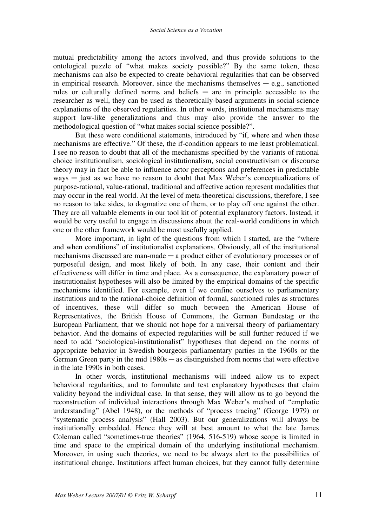mutual predictability among the actors involved, and thus provide solutions to the ontological puzzle of "what makes society possible?" By the same token, these mechanisms can also be expected to create behavioral regularities that can be observed in empirical research. Moreover, since the mechanisms themselves  $-e.g.,$  sanctioned rules or culturally defined norms and beliefs  $-$  are in principle accessible to the researcher as well, they can be used as theoretically-based arguments in social-science explanations of the observed regularities. In other words, institutional mechanisms may support law-like generalizations and thus may also provide the answer to the methodological question of "what makes social science possible?".

But these were conditional statements, introduced by "if, where and when these mechanisms are effective." Of these, the if-condition appears to me least problematical. I see no reason to doubt that all of the mechanisms specified by the variants of rational choice institutionalism, sociological institutionalism, social constructivism or discourse theory may in fact be able to influence actor perceptions and preferences in predictable  $ways - just$  as we have no reason to doubt that Max Weber's conceptualizations of purpose-rational, value-rational, traditional and affective action represent modalities that may occur in the real world. At the level of meta-theoretical discussions, therefore, I see no reason to take sides, to dogmatize one of them, or to play off one against the other. They are all valuable elements in our tool kit of potential explanatory factors. Instead, it would be very useful to engage in discussions about the real-world conditions in which one or the other framework would be most usefully applied.

More important, in light of the questions from which I started, are the "where and when conditions" of institutionalist explanations. Obviously, all of the institutional mechanisms discussed are man-made — a product either of evolutionary processes or of purposeful design, and most likely of both. In any case, their content and their effectiveness will differ in time and place. As a consequence, the explanatory power of institutionalist hypotheses will also be limited by the empirical domains of the specific mechanisms identified. For example, even if we confine ourselves to parliamentary institutions and to the rational-choice definition of formal, sanctioned rules as structures of incentives, these will differ so much between the American House of Representatives, the British House of Commons, the German Bundestag or the European Parliament, that we should not hope for a universal theory of parliamentary behavior. And the domains of expected regularities will be still further reduced if we need to add "sociological-institutionalist" hypotheses that depend on the norms of appropriate behavior in Swedish bourgeois parliamentary parties in the 1960s or the German Green party in the mid  $1980s -$  as distinguished from norms that were effective in the late 1990s in both cases.

In other words, institutional mechanisms will indeed allow us to expect behavioral regularities, and to formulate and test explanatory hypotheses that claim validity beyond the individual case. In that sense, they will allow us to go beyond the reconstruction of individual interactions through Max Weber's method of "emphatic understanding" (Abel 1948), or the methods of "process tracing" (George 1979) or "systematic process analysis" (Hall 2003). But our generalizations will always be institutionally embedded. Hence they will at best amount to what the late James Coleman called "sometimes-true theories" (1964, 516-519) whose scope is limited in time and space to the empirical domain of the underlying institutional mechanism. Moreover, in using such theories, we need to be always alert to the possibilities of institutional change. Institutions affect human choices, but they cannot fully determine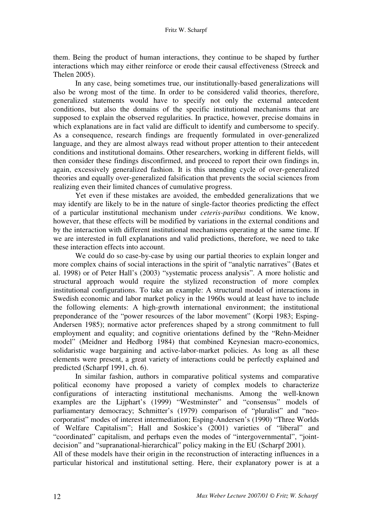them. Being the product of human interactions, they continue to be shaped by further interactions which may either reinforce or erode their causal effectiveness (Streeck and Thelen 2005).

In any case, being sometimes true, our institutionally-based generalizations will also be wrong most of the time. In order to be considered valid theories, therefore, generalized statements would have to specify not only the external antecedent conditions, but also the domains of the specific institutional mechanisms that are supposed to explain the observed regularities. In practice, however, precise domains in which explanations are in fact valid are difficult to identify and cumbersome to specify. As a consequence, research findings are frequently formulated in over-generalized language, and they are almost always read without proper attention to their antecedent conditions and institutional domains. Other researchers, working in different fields, will then consider these findings disconfirmed, and proceed to report their own findings in, again, excessively generalized fashion. It is this unending cycle of over-generalized theories and equally over-generalized falsification that prevents the social sciences from realizing even their limited chances of cumulative progress.

Yet even if these mistakes are avoided, the embedded generalizations that we may identify are likely to be in the nature of single-factor theories predicting the effect of a particular institutional mechanism under *ceteris-paribus* conditions. We know, however, that these effects will be modified by variations in the external conditions and by the interaction with different institutional mechanisms operating at the same time. If we are interested in full explanations and valid predictions, therefore, we need to take these interaction effects into account.

We could do so case-by-case by using our partial theories to explain longer and more complex chains of social interactions in the spirit of "analytic narratives" (Bates et al. 1998) or of Peter Hall's (2003) "systematic process analysis". A more holistic and structural approach would require the stylized reconstruction of more complex institutional configurations. To take an example: A structural model of interactions in Swedish economic and labor market policy in the 1960s would at least have to include the following elements: A high-growth international environment; the institutional preponderance of the "power resources of the labor movement" (Korpi 1983; Esping-Andersen 1985); normative actor preferences shaped by a strong commitment to full employment and equality; and cognitive orientations defined by the "Rehn-Meidner model" (Meidner and Hedborg 1984) that combined Keynesian macro-economics, solidaristic wage bargaining and active-labor-market policies. As long as all these elements were present, a great variety of interactions could be perfectly explained and predicted (Scharpf 1991, ch. 6).

In similar fashion, authors in comparative political systems and comparative political economy have proposed a variety of complex models to characterize configurations of interacting institutional mechanisms. Among the well-known examples are the Lijphart's (1999) "Westminster" and "consensus" models of parliamentary democracy; Schmitter's (1979) comparison of "pluralist" and "neocorporatist" modes of interest intermediation; Esping-Andersen's (1990) "Three Worlds of Welfare Capitalism"; Hall and Soskice's (2001) varieties of "liberal" and "coordinated" capitalism, and perhaps even the modes of "intergovernmental", "jointdecision" and "supranational-hierarchical" policy making in the EU (Scharpf 2001).

All of these models have their origin in the reconstruction of interacting influences in a particular historical and institutional setting. Here, their explanatory power is at a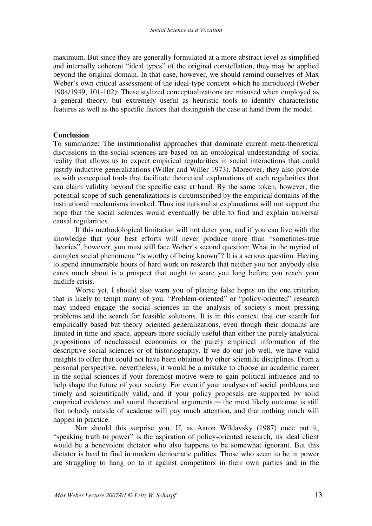maximum. But since they are generally formulated at a more abstract level as simplified and internally coherent "ideal types" of the original constellation, they may be applied beyond the original domain. In that case, however, we should remind ourselves of Max Weber's own critical assessment of the ideal-type concept which he introduced (Weber 1904/1949, 101-102): These stylized conceptualizations are misused when employed as a general theory, but extremely useful as heuristic tools to identify characteristic features as well as the specific factors that distinguish the case at hand from the model.

# **Conclusion**

To summarize: The institutionalist approaches that dominate current meta-theoretical discussions in the social sciences are based on an ontological understanding of social reality that allows us to expect empirical regularities in social interactions that could justify inductive generalizations (Willer and Willer 1973). Moreover, they also provide us with conceptual tools that facilitate theoretical explanations of such regularities that can claim validity beyond the specific case at hand. By the same token, however, the potential scope of such generalizations is circumscribed by the empirical domains of the institutional mechanisms invoked. Thus institutionalist explanations will not support the hope that the social sciences would eventually be able to find and explain universal causal regularities.

If this methodological limitation will not deter you, and if you can live with the knowledge that your best efforts will never produce more than "sometimes-true theories", however, you must still face Weber's second question: What in the myriad of complex social phenomena "is worthy of being known"? It is a serious question. Having to spend innumerable hours of hard work on research that neither you nor anybody else cares much about is a prospect that ought to scare you long before you reach your midlife crisis.

Worse yet, I should also warn you of placing false hopes on the one criterion that is likely to tempt many of you. "Problem-oriented" or "policy-oriented" research may indeed engage the social sciences in the analysis of society's most pressing problems and the search for feasible solutions. It is in this context that our search for empirically based but theory oriented generalizations, even though their domains are limited in time and space, appears more socially useful than either the purely analytical propositions of neoclassical economics or the purely empirical information of the descriptive social sciences or of historiography. If we do our job well, we have valid insights to offer that could not have been obtained by other scientific disciplines. From a personal perspective, nevertheless, it would be a mistake to choose an academic career in the social sciences if your foremost motive were to gain political influence and to help shape the future of your society. For even if your analyses of social problems are timely and scientifically valid, and if your policy proposals are supported by solid empirical evidence and sound theoretical arguments  $-$  the most likely outcome is still that nobody outside of academe will pay much attention, and that nothing much will happen in practice.

Nor should this surprise you. If, as Aaron Wildavsky (1987) once put it, "speaking truth to power" is the aspiration of policy-oriented research, its ideal client would be a benevolent dictator who also happens to be somewhat ignorant. But this dictator is hard to find in modern democratic polities. Those who seem to be in power are struggling to hang on to it against competitors in their own parties and in the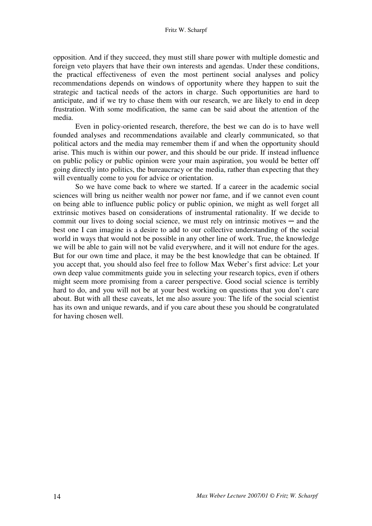opposition. And if they succeed, they must still share power with multiple domestic and foreign veto players that have their own interests and agendas. Under these conditions, the practical effectiveness of even the most pertinent social analyses and policy recommendations depends on windows of opportunity where they happen to suit the strategic and tactical needs of the actors in charge. Such opportunities are hard to anticipate, and if we try to chase them with our research, we are likely to end in deep frustration. With some modification, the same can be said about the attention of the media.

Even in policy-oriented research, therefore, the best we can do is to have well founded analyses and recommendations available and clearly communicated, so that political actors and the media may remember them if and when the opportunity should arise. This much is within our power, and this should be our pride. If instead influence on public policy or public opinion were your main aspiration, you would be better off going directly into politics, the bureaucracy or the media, rather than expecting that they will eventually come to you for advice or orientation.

So we have come back to where we started. If a career in the academic social sciences will bring us neither wealth nor power nor fame, and if we cannot even count on being able to influence public policy or public opinion, we might as well forget all extrinsic motives based on considerations of instrumental rationality. If we decide to commit our lives to doing social science, we must rely on intrinsic motives  $-$  and the best one I can imagine is a desire to add to our collective understanding of the social world in ways that would not be possible in any other line of work. True, the knowledge we will be able to gain will not be valid everywhere, and it will not endure for the ages. But for our own time and place, it may be the best knowledge that can be obtained. If you accept that, you should also feel free to follow Max Weber's first advice: Let your own deep value commitments guide you in selecting your research topics, even if others might seem more promising from a career perspective. Good social science is terribly hard to do, and you will not be at your best working on questions that you don't care about. But with all these caveats, let me also assure you: The life of the social scientist has its own and unique rewards, and if you care about these you should be congratulated for having chosen well.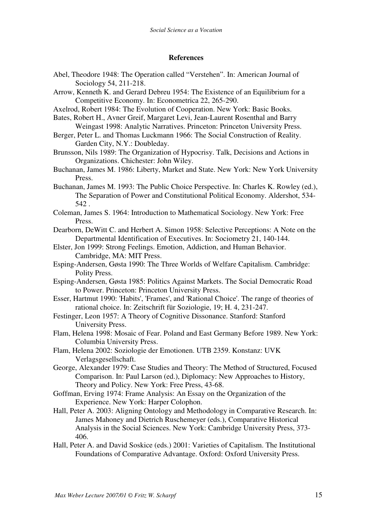## **References**

- Abel, Theodore 1948: The Operation called "Verstehen". In: American Journal of Sociology 54, 211-218.
- Arrow, Kenneth K. and Gerard Debreu 1954: The Existence of an Equilibrium for a Competitive Economy. In: Econometrica 22, 265-290.
- Axelrod, Robert 1984: The Evolution of Cooperation. New York: Basic Books.
- Bates, Robert H., Avner Greif, Margaret Levi, Jean-Laurent Rosenthal and Barry Weingast 1998: Analytic Narratives. Princeton: Princeton University Press.
- Berger, Peter L. and Thomas Luckmann 1966: The Social Construction of Reality. Garden City, N.Y.: Doubleday.
- Brunsson, Nils 1989: The Organization of Hypocrisy. Talk, Decisions and Actions in Organizations. Chichester: John Wiley.
- Buchanan, James M. 1986: Liberty, Market and State. New York: New York University Press.
- Buchanan, James M. 1993: The Public Choice Perspective. In: Charles K. Rowley (ed.), The Separation of Power and Constitutional Political Economy. Aldershot, 534- 542 .
- Coleman, James S. 1964: Introduction to Mathematical Sociology. New York: Free Press.
- Dearborn, DeWitt C. and Herbert A. Simon 1958: Selective Perceptions: A Note on the Departmental Identification of Executives. In: Sociometry 21, 140-144.
- Elster, Jon 1999: Strong Feelings. Emotion, Addiction, and Human Behavior. Cambridge, MA: MIT Press.
- Esping-Andersen, Gøsta 1990: The Three Worlds of Welfare Capitalism. Cambridge: Polity Press.
- Esping-Andersen, Gøsta 1985: Politics Against Markets. The Social Democratic Road to Power. Princeton: Princeton University Press.
- Esser, Hartmut 1990: 'Habits', 'Frames', and 'Rational Choice'. The range of theories of rational choice. In: Zeitschrift für Soziologie, 19; H. 4, 231-247.
- Festinger, Leon 1957: A Theory of Cognitive Dissonance. Stanford: Stanford University Press.
- Flam, Helena 1998: Mosaic of Fear. Poland and East Germany Before 1989. New York: Columbia University Press.
- Flam, Helena 2002: Soziologie der Emotionen. UTB 2359. Konstanz: UVK Verlagsgesellschaft.
- George, Alexander 1979: Case Studies and Theory: The Method of Structured, Focused Comparison. In: Paul Larson (ed.), Diplomacy: New Approaches to History, Theory and Policy. New York: Free Press, 43-68.
- Goffman, Erving 1974: Frame Analysis: An Essay on the Organization of the Experience. New York: Harper Colophon.
- Hall, Peter A. 2003: Aligning Ontology and Methodology in Comparative Research. In: James Mahoney and Dietrich Ruschemeyer (eds.), Comparative Historical Analysis in the Social Sciences. New York: Cambridge University Press, 373- 406.
- Hall, Peter A. and David Soskice (eds.) 2001: Varieties of Capitalism. The Institutional Foundations of Comparative Advantage. Oxford: Oxford University Press.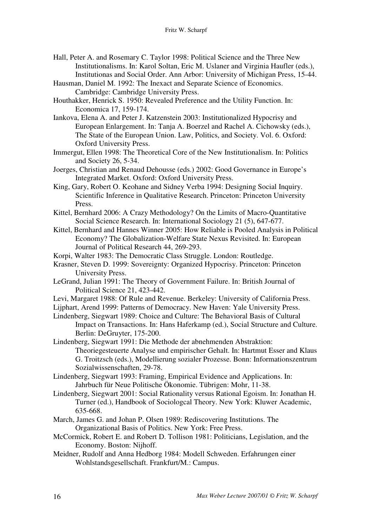- Hall, Peter A. and Rosemary C. Taylor 1998: Political Science and the Three New Institutionalisms. In: Karol Soltan, Eric M. Uslaner and Virginia Haufler (eds.), Institutionas and Social Order. Ann Arbor: University of Michigan Press, 15-44.
- Hausman, Daniel M. 1992: The Inexact and Separate Science of Economics. Cambridge: Cambridge University Press.
- Houthakker, Henrick S. 1950: Revealed Preference and the Utility Function. In: Economica 17, 159-174.
- Iankova, Elena A. and Peter J. Katzenstein 2003: Institutionalized Hypocrisy and European Enlargement. In: Tanja A. Boerzel and Rachel A. Cichowsky (eds.), The State of the European Union. Law, Politics, and Society. Vol. 6. Oxford: Oxford University Press.
- Immergut, Ellen 1998: The Theoretical Core of the New Institutionalism. In: Politics and Society 26, 5-34.
- Joerges, Christian and Renaud Dehousse (eds.) 2002: Good Governance in Europe's Integrated Market. Oxford: Oxford University Press.
- King, Gary, Robert O. Keohane and Sidney Verba 1994: Designing Social Inquiry. Scientific Inference in Qualitative Research. Princeton: Princeton University Press.
- Kittel, Bernhard 2006: A Crazy Methodology? On the Limits of Macro-Quantitative Social Science Research. In: International Sociology 21 (5), 647-677.
- Kittel, Bernhard and Hannes Winner 2005: How Reliable is Pooled Analysis in Political Economy? The Globalization-Welfare State Nexus Revisited. In: European Journal of Political Research 44, 269-293.
- Korpi, Walter 1983: The Democratic Class Struggle. London: Routledge.
- Krasner, Steven D. 1999: Sovereignty: Organized Hypocrisy. Princeton: Princeton University Press.
- LeGrand, Julian 1991: The Theory of Government Failure. In: British Journal of Political Science 21, 423-442.
- Levi, Margaret 1988: Of Rule and Revenue. Berkeley: University of California Press.
- Lijphart, Arend 1999: Patterns of Democracy. New Haven: Yale University Press.
- Lindenberg, Siegwart 1989: Choice and Culture: The Behavioral Basis of Cultural Impact on Transactions. In: Hans Haferkamp (ed.), Social Structure and Culture. Berlin: DeGruyter, 175-200.
- Lindenberg, Siegwart 1991: Die Methode der abnehmenden Abstraktion: Theoriegesteuerte Analyse und empirischer Gehalt. In: Hartmut Esser and Klaus G. Troitzsch (eds.), Modellierung sozialer Prozesse. Bonn: Informationszentrum Sozialwissenschaften, 29-78.
- Lindenberg, Siegwart 1993: Framing, Empirical Evidence and Applications. In: Jahrbuch für Neue Politische Ökonomie. Tübrigen: Mohr, 11-38.
- Lindenberg, Siegwart 2001: Social Rationality versus Rational Egoism. In: Jonathan H. Turner (ed.), Handbook of Sociologcal Theory. New York: Kluwer Academic, 635-668.
- March, James G. and Johan P. Olsen 1989: Rediscovering Institutions. The Organizational Basis of Politics. New York: Free Press.
- McCormick, Robert E. and Robert D. Tollison 1981: Politicians, Legislation, and the Economy. Boston: Nijhoff.
- Meidner, Rudolf and Anna Hedborg 1984: Modell Schweden. Erfahrungen einer Wohlstandsgesellschaft. Frankfurt/M.: Campus.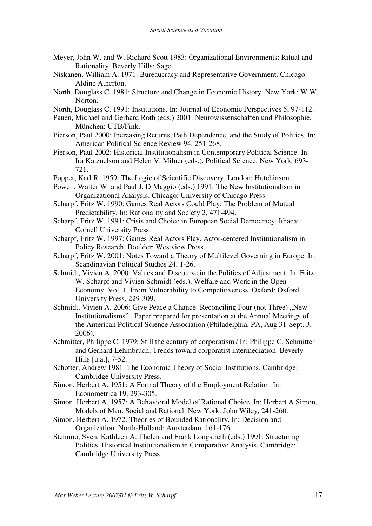- Meyer, John W. and W. Richard Scott 1983: Organizational Environments: Ritual and Rationality. Beverly Hills: Sage.
- Niskanen, William A. 1971: Bureaucracy and Representative Government. Chicago: Aldine Atherton.
- North, Douglass C. 1981: Structure and Change in Economic History. New York: W.W. Norton.
- North, Douglass C. 1991: Institutions. In: Journal of Economic Perspectives 5, 97-112.
- Pauen, Michael and Gerhard Roth (eds.) 2001: Neurowissenschaften und Philosophie. München: UTB/Fink.
- Pierson, Paul 2000: Increasing Returns, Path Dependence, and the Study of Politics. In: American Political Science Review 94, 251-268.
- Pierson, Paul 2002: Historical Institutionalism in Contemporary Political Science. In: Ira Katznelson and Helen V. Milner (eds.), Political Science. New York, 693- 721.
- Popper, Karl R. 1959: The Logic of Scientific Discovery. London: Hutchinson.
- Powell, Walter W. and Paul J. DiMaggio (eds.) 1991: The New Institutionalism in Organizational Analysis. Chicago: University of Chicago Press.
- Scharpf, Fritz W. 1990: Games Real Actors Could Play: The Problem of Mutual Predictability. In: Rationality and Society 2, 471-494.
- Scharpf, Fritz W. 1991: Crisis and Choice in European Social Democracy. Ithaca: Cornell University Press.
- Scharpf, Fritz W. 1997: Games Real Actors Play. Actor-centered Institutionalism in Policy Research. Boulder: Westview Press.
- Scharpf, Fritz W. 2001: Notes Toward a Theory of Multilevel Governing in Europe. In: Scandinavian Political Studies 24, 1-26.
- Schmidt, Vivien A. 2000: Values and Discourse in the Politics of Adjustment. In: Fritz W. Scharpf and Vivien Schmidt (eds.), Welfare and Work in the Open Economy. Vol. 1. From Vulnerability to Competitiveness. Oxford: Oxford University Press, 229-309.
- Schmidt, Vivien A. 2006: Give Peace a Chance: Reconciling Four (not Three) "New Institutionalisms" . Paper prepared for presentation at the Annual Meetings of the American Political Science Association (Philadelphia, PA, Aug.31-Sept. 3, 2006).
- Schmitter, Philippe C. 1979: Still the century of corporatism? In: Philippe C. Schmitter and Gerhard Lehmbruch, Trends toward corporatist intermediation. Beverly Hills [u.a.], 7-52.
- Schotter, Andrew 1981: The Economic Theory of Social Institutions. Cambridge: Cambridge University Press.
- Simon, Herbert A. 1951: A Formal Theory of the Employment Relation. In: Econometrica 19, 293-305.
- Simon, Herbert A. 1957: A Behavioral Model of Rational Choice. In: Herbert A Simon, Models of Man. Social and Rational. New York: John Wiley, 241-260.
- Simon, Herbert A. 1972. Theories of Bounded Rationality. In: Decision and Organization. North-Holland: Amsterdam. 161-176.
- Steinmo, Sven, Kathleen A. Thelen and Frank Longstreth (eds.) 1991: Structuring Politics. Historical Institutionalism in Comparative Analysis. Cambridge: Cambridge University Press.